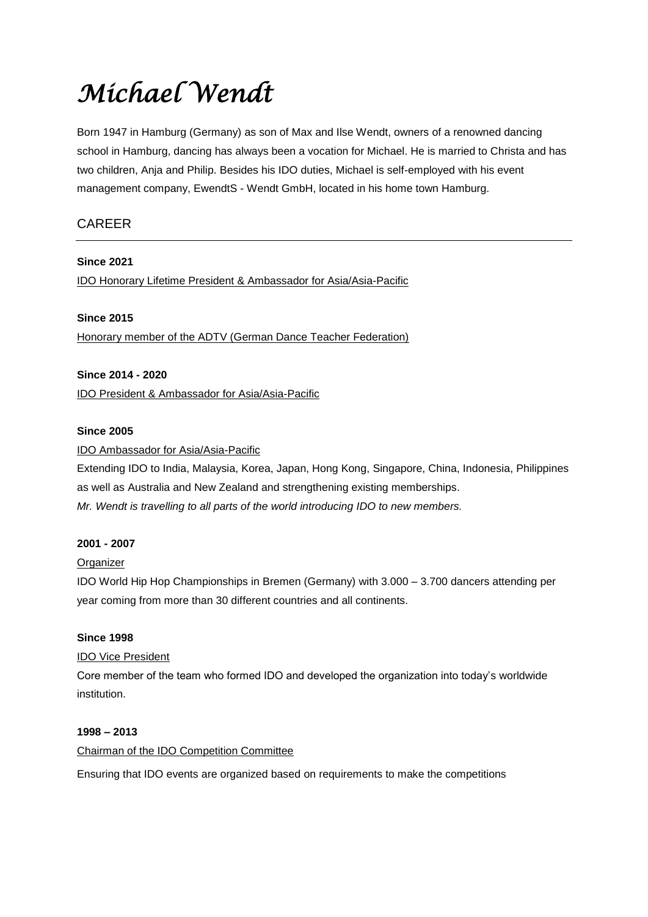# *Michael Wendt*

Born 1947 in Hamburg (Germany) as son of Max and Ilse Wendt, owners of a renowned dancing school in Hamburg, dancing has always been a vocation for Michael. He is married to Christa and has two children, Anja and Philip. Besides his IDO duties, Michael is self-employed with his event management company, EwendtS - Wendt GmbH, located in his home town Hamburg.

# CAREER

**Since 2021** IDO Honorary Lifetime President & Ambassador for Asia/Asia-Pacific

# **Since 2015** Honorary member of the ADTV (German Dance Teacher Federation)

# **Since 2014 - 2020**

IDO President & Ambassador for Asia/Asia-Pacific

# **Since 2005**

# IDO Ambassador for Asia/Asia-Pacific

Extending IDO to India, Malaysia, Korea, Japan, Hong Kong, Singapore, China, Indonesia, Philippines as well as Australia and New Zealand and strengthening existing memberships. *Mr. Wendt is travelling to all parts of the world introducing IDO to new members.*

#### **2001 - 2007**

# **Organizer**

IDO World Hip Hop Championships in Bremen (Germany) with 3.000 – 3.700 dancers attending per year coming from more than 30 different countries and all continents.

# **Since 1998**

# IDO Vice President

Core member of the team who formed IDO and developed the organization into today's worldwide institution.

#### **1998 – 2013**

#### Chairman of the IDO Competition Committee

Ensuring that IDO events are organized based on requirements to make the competitions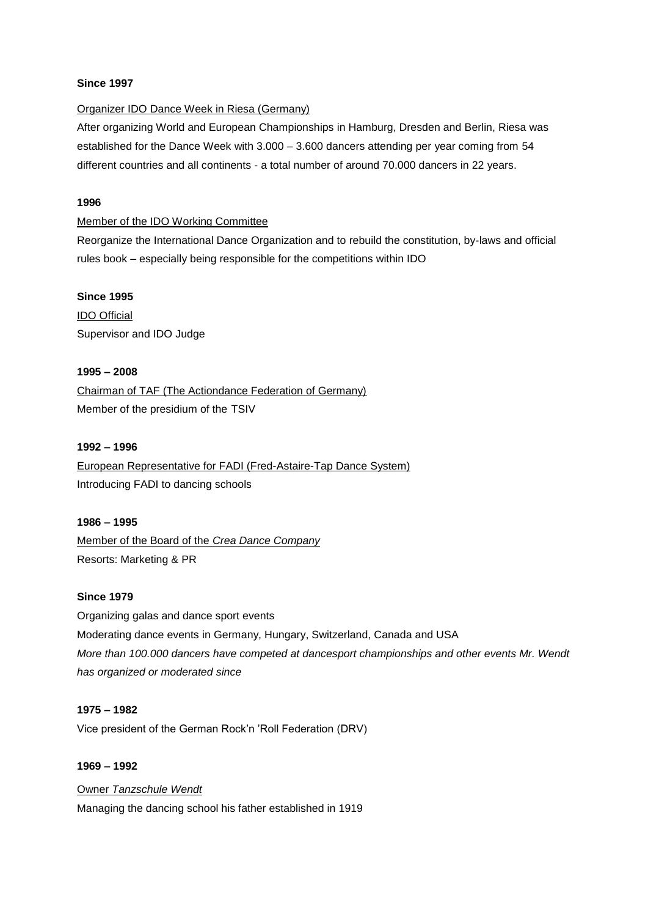#### **Since 1997**

#### Organizer IDO Dance Week in Riesa (Germany)

After organizing World and European Championships in Hamburg, Dresden and Berlin, Riesa was established for the Dance Week with 3.000 – 3.600 dancers attending per year coming from 54 different countries and all continents - a total number of around 70.000 dancers in 22 years.

#### **1996**

#### Member of the IDO Working Committee

Reorganize the International Dance Organization and to rebuild the constitution, by-laws and official rules book – especially being responsible for the competitions within IDO

#### **Since 1995**

IDO Official Supervisor and IDO Judge

#### **1995 – 2008**

Chairman of TAF (The Actiondance Federation of Germany) Member of the presidium of the TSIV

#### **1992 – 1996**

European Representative for FADI (Fred-Astaire-Tap Dance System) Introducing FADI to dancing schools

#### **1986 – 1995**

Member of the Board of the *Crea Dance Company*  Resorts: Marketing & PR

#### **Since 1979**

Organizing galas and dance sport events Moderating dance events in Germany, Hungary, Switzerland, Canada and USA *More than 100.000 dancers have competed at dancesport championships and other events Mr. Wendt has organized or moderated since*

# **1975 – 1982**

Vice president of the German Rock'n 'Roll Federation (DRV)

#### **1969 – 1992**

#### Owner *Tanzschule Wendt*

Managing the dancing school his father established in 1919